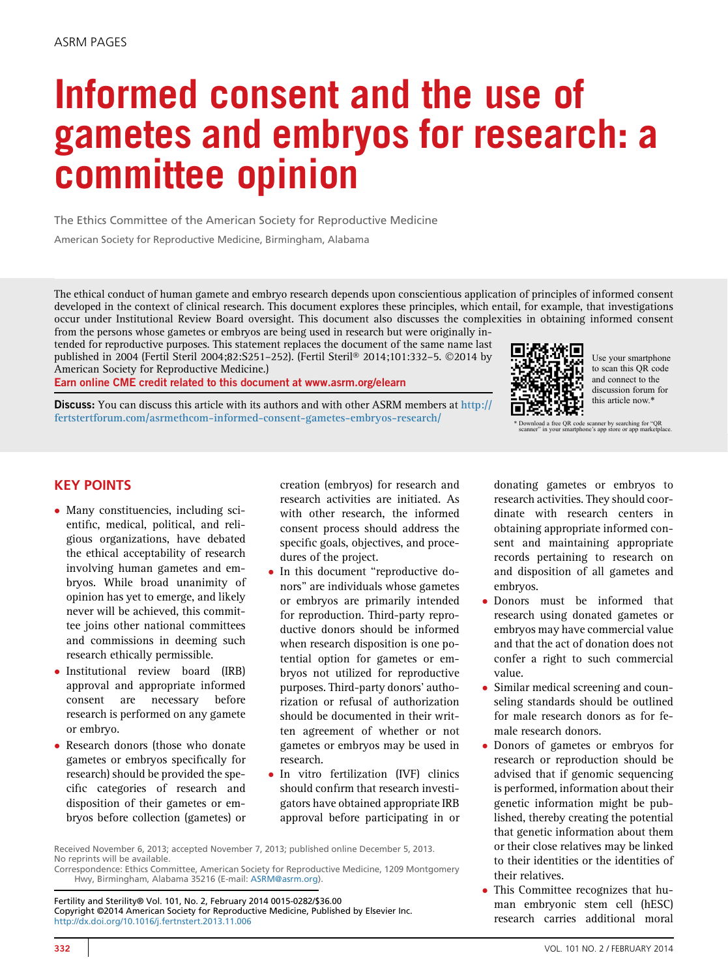## Informed consent and the use of gametes and embryos for research: a committee opinion

The Ethics Committee of the American Society for Reproductive Medicine

American Society for Reproductive Medicine, Birmingham, Alabama

The ethical conduct of human gamete and embryo research depends upon conscientious application of principles of informed consent developed in the context of clinical research. This document explores these principles, which entail, for example, that investigations occur under Institutional Review Board oversight. This document also discusses the complexities in obtaining informed consent from the persons whose gametes or embryos are being used in research but were originally in-

tended for reproductive purposes. This statement replaces the document of the same name last published in 2004 (Fertil Steril 2004;82:S251–252). (Fertil Steril 2014;101:332–5. 2014 by American Society for Reproductive Medicine.)

Earn online CME credit related to this document at [www.asrm.org/elearn](http://www.asrm.org/elearn)

Discuss: You can discuss this article with its authors and with other ASRM members at [http://](http://fertstertforum.com/asrmethcom-informed-consent-gametes-embryos-research/) [fertstertforum.com/asrmethcom-informed-consent-gametes-embryos-research/](http://fertstertforum.com/asrmethcom-informed-consent-gametes-embryos-research/)



Use your smartphone to scan this QR code and connect to the discussion forum for this article now.\*

mload a free QR code scanner by searching for "QR searching for "QR scanner" in your smartphone's app store or app marketplace.

## KEY POINTS

- Many constituencies, including scientific, medical, political, and religious organizations, have debated the ethical acceptability of research involving human gametes and embryos. While broad unanimity of opinion has yet to emerge, and likely never will be achieved, this committee joins other national committees and commissions in deeming such research ethically permissible.
- Institutional review board (IRB) approval and appropriate informed consent are necessary before research is performed on any gamete or embryo.
- Research donors (those who donate gametes or embryos specifically for research) should be provided the specific categories of research and disposition of their gametes or embryos before collection (gametes) or

creation (embryos) for research and research activities are initiated. As with other research, the informed consent process should address the specific goals, objectives, and procedures of the project.

- In this document "reproductive donors'' are individuals whose gametes or embryos are primarily intended for reproduction. Third-party reproductive donors should be informed when research disposition is one potential option for gametes or embryos not utilized for reproductive purposes. Third-party donors' authorization or refusal of authorization should be documented in their written agreement of whether or not gametes or embryos may be used in research.
- In vitro fertilization (IVF) clinics should confirm that research investigators have obtained appropriate IRB approval before participating in or

Received November 6, 2013; accepted November 7, 2013; published online December 5, 2013. No reprints will be available.

Correspondence: Ethics Committee, American Society for Reproductive Medicine, 1209 Montgomery Hwy, Birmingham, Alabama 35216 (E-mail: [ASRM@asrm.org\)](mailto:ASRM@asrm.org).

Fertility and Sterility® Vol. 101, No. 2, February 2014 0015-0282/\$36.00 Copyright ©2014 American Society for Reproductive Medicine, Published by Elsevier Inc. <http://dx.doi.org/10.1016/j.fertnstert.2013.11.006>

donating gametes or embryos to research activities. They should coordinate with research centers in obtaining appropriate informed consent and maintaining appropriate records pertaining to research on and disposition of all gametes and embryos.

- Donors must be informed that research using donated gametes or embryos may have commercial value and that the act of donation does not confer a right to such commercial value.
- Similar medical screening and counseling standards should be outlined for male research donors as for female research donors.
- Donors of gametes or embryos for research or reproduction should be advised that if genomic sequencing is performed, information about their genetic information might be published, thereby creating the potential that genetic information about them or their close relatives may be linked to their identities or the identities of their relatives.
- This Committee recognizes that human embryonic stem cell (hESC) research carries additional moral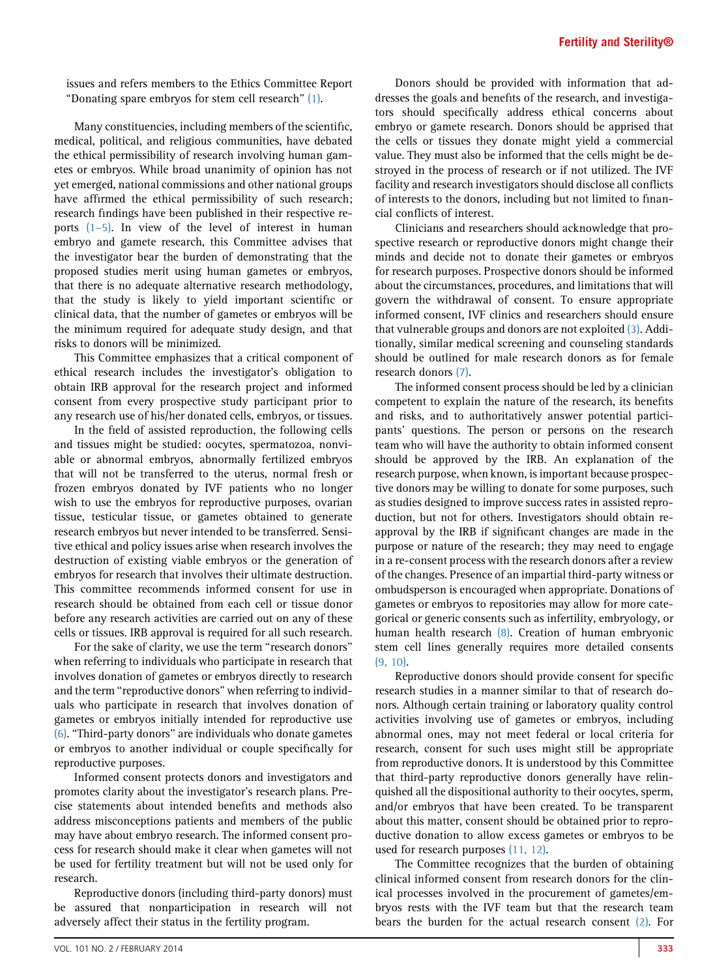issues and refers members to the Ethics Committee Report ''Donating spare embryos for stem cell research'' [\(1\).](#page-2-0)

Many constituencies, including members of the scientific, medical, political, and religious communities, have debated the ethical permissibility of research involving human gametes or embryos. While broad unanimity of opinion has not yet emerged, national commissions and other national groups have affirmed the ethical permissibility of such research; research findings have been published in their respective reports (1–[5\).](#page-2-0) In view of the level of interest in human embryo and gamete research, this Committee advises that the investigator bear the burden of demonstrating that the proposed studies merit using human gametes or embryos, that there is no adequate alternative research methodology, that the study is likely to yield important scientific or clinical data, that the number of gametes or embryos will be the minimum required for adequate study design, and that risks to donors will be minimized.

This Committee emphasizes that a critical component of ethical research includes the investigator's obligation to obtain IRB approval for the research project and informed consent from every prospective study participant prior to any research use of his/her donated cells, embryos, or tissues.

In the field of assisted reproduction, the following cells and tissues might be studied: oocytes, spermatozoa, nonviable or abnormal embryos, abnormally fertilized embryos that will not be transferred to the uterus, normal fresh or frozen embryos donated by IVF patients who no longer wish to use the embryos for reproductive purposes, ovarian tissue, testicular tissue, or gametes obtained to generate research embryos but never intended to be transferred. Sensitive ethical and policy issues arise when research involves the destruction of existing viable embryos or the generation of embryos for research that involves their ultimate destruction. This committee recommends informed consent for use in research should be obtained from each cell or tissue donor before any research activities are carried out on any of these cells or tissues. IRB approval is required for all such research.

For the sake of clarity, we use the term "research donors" when referring to individuals who participate in research that involves donation of gametes or embryos directly to research and the term "reproductive donors" when referring to individuals who participate in research that involves donation of gametes or embryos initially intended for reproductive use [\(6\).](#page-3-0) ''Third-party donors'' are individuals who donate gametes or embryos to another individual or couple specifically for reproductive purposes.

Informed consent protects donors and investigators and promotes clarity about the investigator's research plans. Precise statements about intended benefits and methods also address misconceptions patients and members of the public may have about embryo research. The informed consent process for research should make it clear when gametes will not be used for fertility treatment but will not be used only for research.

Reproductive donors (including third-party donors) must be assured that nonparticipation in research will not adversely affect their status in the fertility program.

Donors should be provided with information that addresses the goals and benefits of the research, and investigators should specifically address ethical concerns about embryo or gamete research. Donors should be apprised that the cells or tissues they donate might yield a commercial value. They must also be informed that the cells might be destroyed in the process of research or if not utilized. The IVF facility and research investigators should disclose all conflicts of interests to the donors, including but not limited to financial conflicts of interest.

Clinicians and researchers should acknowledge that prospective research or reproductive donors might change their minds and decide not to donate their gametes or embryos for research purposes. Prospective donors should be informed about the circumstances, procedures, and limitations that will govern the withdrawal of consent. To ensure appropriate informed consent, IVF clinics and researchers should ensure that vulnerable groups and donors are not exploited [\(3\).](#page-2-0) Additionally, similar medical screening and counseling standards should be outlined for male research donors as for female research donors [\(7\).](#page-3-0)

The informed consent process should be led by a clinician competent to explain the nature of the research, its benefits and risks, and to authoritatively answer potential participants' questions. The person or persons on the research team who will have the authority to obtain informed consent should be approved by the IRB. An explanation of the research purpose, when known, is important because prospective donors may be willing to donate for some purposes, such as studies designed to improve success rates in assisted reproduction, but not for others. Investigators should obtain reapproval by the IRB if significant changes are made in the purpose or nature of the research; they may need to engage in a re-consent process with the research donors after a review of the changes. Presence of an impartial third-party witness or ombudsperson is encouraged when appropriate. Donations of gametes or embryos to repositories may allow for more categorical or generic consents such as infertility, embryology, or human health research [\(8\).](#page-3-0) Creation of human embryonic stem cell lines generally requires more detailed consents [\(9, 10\).](#page-3-0)

Reproductive donors should provide consent for specific research studies in a manner similar to that of research donors. Although certain training or laboratory quality control activities involving use of gametes or embryos, including abnormal ones, may not meet federal or local criteria for research, consent for such uses might still be appropriate from reproductive donors. It is understood by this Committee that third-party reproductive donors generally have relinquished all the dispositional authority to their oocytes, sperm, and/or embryos that have been created. To be transparent about this matter, consent should be obtained prior to reproductive donation to allow excess gametes or embryos to be used for research purposes [\(11, 12\)](#page-3-0).

The Committee recognizes that the burden of obtaining clinical informed consent from research donors for the clinical processes involved in the procurement of gametes/embryos rests with the IVF team but that the research team bears the burden for the actual research consent [\(2\)](#page-2-0). For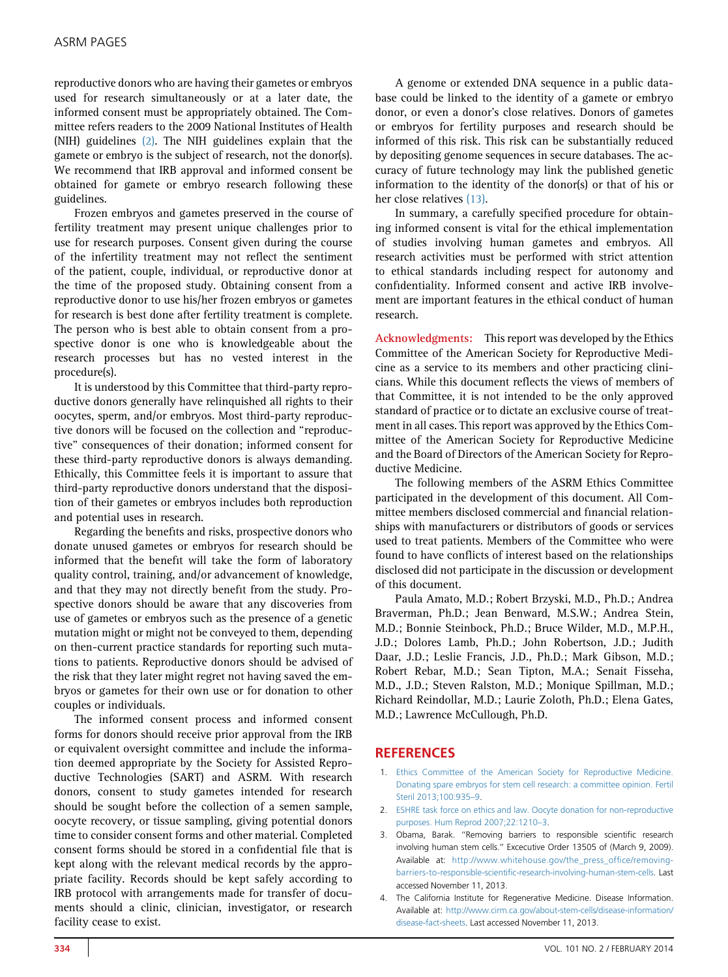<span id="page-2-0"></span>reproductive donors who are having their gametes or embryos used for research simultaneously or at a later date, the informed consent must be appropriately obtained. The Committee refers readers to the 2009 National Institutes of Health (NIH) guidelines (2). The NIH guidelines explain that the gamete or embryo is the subject of research, not the donor(s). We recommend that IRB approval and informed consent be obtained for gamete or embryo research following these guidelines.

Frozen embryos and gametes preserved in the course of fertility treatment may present unique challenges prior to use for research purposes. Consent given during the course of the infertility treatment may not reflect the sentiment of the patient, couple, individual, or reproductive donor at the time of the proposed study. Obtaining consent from a reproductive donor to use his/her frozen embryos or gametes for research is best done after fertility treatment is complete. The person who is best able to obtain consent from a prospective donor is one who is knowledgeable about the research processes but has no vested interest in the procedure(s).

It is understood by this Committee that third-party reproductive donors generally have relinquished all rights to their oocytes, sperm, and/or embryos. Most third-party reproductive donors will be focused on the collection and ''reproductive'' consequences of their donation; informed consent for these third-party reproductive donors is always demanding. Ethically, this Committee feels it is important to assure that third-party reproductive donors understand that the disposition of their gametes or embryos includes both reproduction and potential uses in research.

Regarding the benefits and risks, prospective donors who donate unused gametes or embryos for research should be informed that the benefit will take the form of laboratory quality control, training, and/or advancement of knowledge, and that they may not directly benefit from the study. Prospective donors should be aware that any discoveries from use of gametes or embryos such as the presence of a genetic mutation might or might not be conveyed to them, depending on then-current practice standards for reporting such mutations to patients. Reproductive donors should be advised of the risk that they later might regret not having saved the embryos or gametes for their own use or for donation to other couples or individuals.

The informed consent process and informed consent forms for donors should receive prior approval from the IRB or equivalent oversight committee and include the information deemed appropriate by the Society for Assisted Reproductive Technologies (SART) and ASRM. With research donors, consent to study gametes intended for research should be sought before the collection of a semen sample, oocyte recovery, or tissue sampling, giving potential donors time to consider consent forms and other material. Completed consent forms should be stored in a confidential file that is kept along with the relevant medical records by the appropriate facility. Records should be kept safely according to IRB protocol with arrangements made for transfer of documents should a clinic, clinician, investigator, or research facility cease to exist.

A genome or extended DNA sequence in a public database could be linked to the identity of a gamete or embryo donor, or even a donor's close relatives. Donors of gametes or embryos for fertility purposes and research should be informed of this risk. This risk can be substantially reduced by depositing genome sequences in secure databases. The accuracy of future technology may link the published genetic information to the identity of the donor(s) or that of his or her close relatives [\(13\)](#page-3-0).

In summary, a carefully specified procedure for obtaining informed consent is vital for the ethical implementation of studies involving human gametes and embryos. All research activities must be performed with strict attention to ethical standards including respect for autonomy and confidentiality. Informed consent and active IRB involvement are important features in the ethical conduct of human research.

Acknowledgments: This report was developed by the Ethics Committee of the American Society for Reproductive Medicine as a service to its members and other practicing clinicians. While this document reflects the views of members of that Committee, it is not intended to be the only approved standard of practice or to dictate an exclusive course of treatment in all cases. This report was approved by the Ethics Committee of the American Society for Reproductive Medicine and the Board of Directors of the American Society for Reproductive Medicine.

The following members of the ASRM Ethics Committee participated in the development of this document. All Committee members disclosed commercial and financial relationships with manufacturers or distributors of goods or services used to treat patients. Members of the Committee who were found to have conflicts of interest based on the relationships disclosed did not participate in the discussion or development of this document.

Paula Amato, M.D.; Robert Brzyski, M.D., Ph.D.; Andrea Braverman, Ph.D.; Jean Benward, M.S.W.; Andrea Stein, M.D.; Bonnie Steinbock, Ph.D.; Bruce Wilder, M.D., M.P.H., J.D.; Dolores Lamb, Ph.D.; John Robertson, J.D.; Judith Daar, J.D.; Leslie Francis, J.D., Ph.D.; Mark Gibson, M.D.; Robert Rebar, M.D.; Sean Tipton, M.A.; Senait Fisseha, M.D., J.D.; Steven Ralston, M.D.; Monique Spillman, M.D.; Richard Reindollar, M.D.; Laurie Zoloth, Ph.D.; Elena Gates, M.D.; Lawrence McCullough, Ph.D.

## **REFERENCES**

- 1. [Ethics Committee of the American Society for Reproductive Medicine.](http://refhub.elsevier.com/S0015-0282(13)03259-7/sref1) [Donating spare embryos for stem cell research: a committee opinion. Fertil](http://refhub.elsevier.com/S0015-0282(13)03259-7/sref1) [Steril 2013;100:935](http://refhub.elsevier.com/S0015-0282(13)03259-7/sref1)–9.
- 2. [ESHRE task force on ethics and law. Oocyte donation for non-reproductive](http://refhub.elsevier.com/S0015-0282(13)03259-7/sref2) [purposes. Hum Reprod 2007;22:1210](http://refhub.elsevier.com/S0015-0282(13)03259-7/sref2)–3.
- 3. Obama, Barak. ''Removing barriers to responsible scientific research involving human stem cells.'' Excecutive Order 13505 of (March 9, 2009). Available at: [http://www.whitehouse.gov/the\\_press\\_of](http://www.whitehouse.gov/the_press_office/removing-barriers-to-responsible-scientific-research-involving-human-stem-cells)fice/removingbarriers-to-responsible-scientifi[c-research-involving-human-stem-cells](http://www.whitehouse.gov/the_press_office/removing-barriers-to-responsible-scientific-research-involving-human-stem-cells). Last accessed November 11, 2013.
- 4. The California Institute for Regenerative Medicine. Disease Information. Available at: [http://www.cirm.ca.gov/about-stem-cells/disease-information/](http://www.cirm.ca.gov/about-stem-cells/disease-information/disease-fact-sheets) [disease-fact-sheets](http://www.cirm.ca.gov/about-stem-cells/disease-information/disease-fact-sheets). Last accessed November 11, 2013.